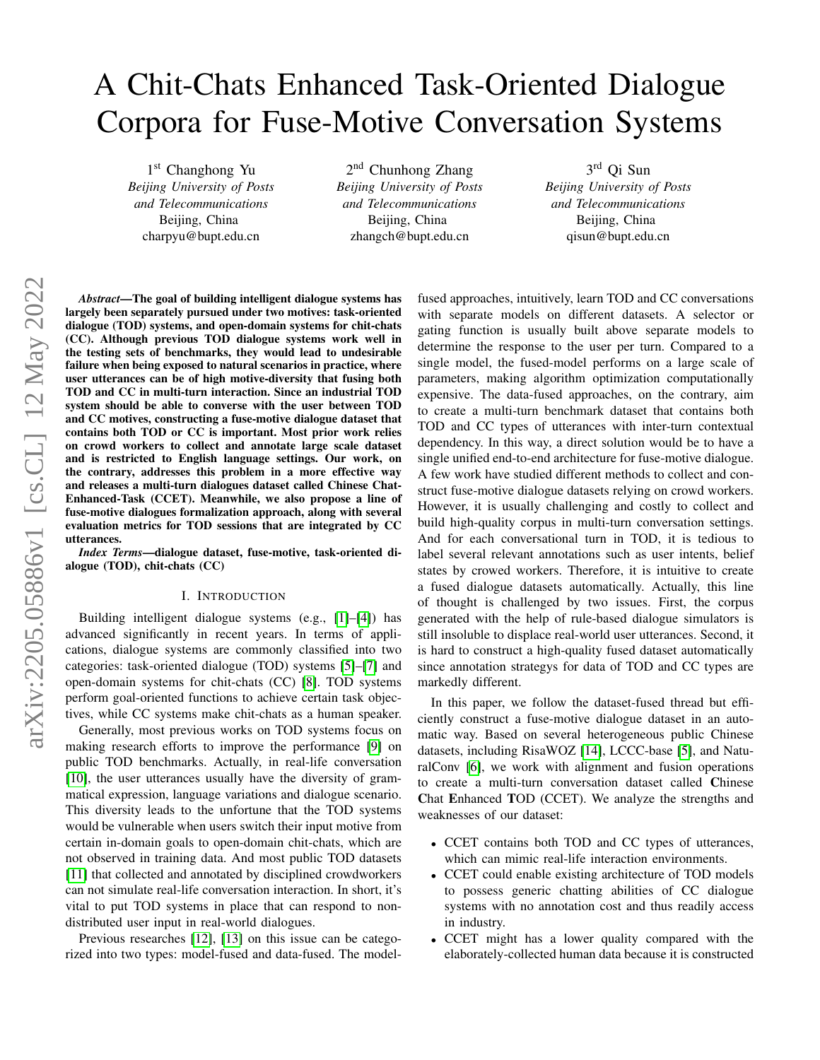# A Chit-Chats Enhanced Task-Oriented Dialogue Corpora for Fuse-Motive Conversation Systems

1<sup>st</sup> Changhong Yu *Beijing University of Posts and Telecommunications* Beijing, China charpyu@bupt.edu.cn

2<sup>nd</sup> Chunhong Zhang *Beijing University of Posts and Telecommunications* Beijing, China zhangch@bupt.edu.cn

3 rd Qi Sun *Beijing University of Posts and Telecommunications* Beijing, China qisun@bupt.edu.cn

*Abstract*—The goal of building intelligent dialogue systems has largely been separately pursued under two motives: task-oriented dialogue (TOD) systems, and open-domain systems for chit-chats (CC). Although previous TOD dialogue systems work well in the testing sets of benchmarks, they would lead to undesirable failure when being exposed to natural scenarios in practice, where user utterances can be of high motive-diversity that fusing both TOD and CC in multi-turn interaction. Since an industrial TOD system should be able to converse with the user between TOD and CC motives, constructing a fuse-motive dialogue dataset that contains both TOD or CC is important. Most prior work relies on crowd workers to collect and annotate large scale dataset and is restricted to English language settings. Our work, on the contrary, addresses this problem in a more effective way and releases a multi-turn dialogues dataset called Chinese Chat-Enhanced-Task (CCET). Meanwhile, we also propose a line of fuse-motive dialogues formalization approach, along with several evaluation metrics for TOD sessions that are integrated by CC utterances.

*Index Terms*—dialogue dataset, fuse-motive, task-oriented dialogue (TOD), chit-chats (CC)

#### I. INTRODUCTION

Building intelligent dialogue systems (e.g., [\[1\]](#page-5-0)–[\[4\]](#page-5-1)) has advanced significantly in recent years. In terms of applications, dialogue systems are commonly classified into two categories: task-oriented dialogue (TOD) systems [\[5\]](#page-5-2)–[\[7\]](#page-5-3) and open-domain systems for chit-chats (CC) [\[8\]](#page-5-4). TOD systems perform goal-oriented functions to achieve certain task objectives, while CC systems make chit-chats as a human speaker.

Generally, most previous works on TOD systems focus on making research efforts to improve the performance [\[9\]](#page-5-5) on public TOD benchmarks. Actually, in real-life conversation [\[10\]](#page-6-0), the user utterances usually have the diversity of grammatical expression, language variations and dialogue scenario. This diversity leads to the unfortune that the TOD systems would be vulnerable when users switch their input motive from certain in-domain goals to open-domain chit-chats, which are not observed in training data. And most public TOD datasets [\[11\]](#page-6-1) that collected and annotated by disciplined crowdworkers can not simulate real-life conversation interaction. In short, it's vital to put TOD systems in place that can respond to nondistributed user input in real-world dialogues.

Previous researches [\[12\]](#page-6-2), [\[13\]](#page-6-3) on this issue can be categorized into two types: model-fused and data-fused. The modelfused approaches, intuitively, learn TOD and CC conversations with separate models on different datasets. A selector or gating function is usually built above separate models to determine the response to the user per turn. Compared to a single model, the fused-model performs on a large scale of parameters, making algorithm optimization computationally expensive. The data-fused approaches, on the contrary, aim to create a multi-turn benchmark dataset that contains both TOD and CC types of utterances with inter-turn contextual dependency. In this way, a direct solution would be to have a single unified end-to-end architecture for fuse-motive dialogue. A few work have studied different methods to collect and construct fuse-motive dialogue datasets relying on crowd workers. However, it is usually challenging and costly to collect and build high-quality corpus in multi-turn conversation settings. And for each conversational turn in TOD, it is tedious to label several relevant annotations such as user intents, belief states by crowed workers. Therefore, it is intuitive to create a fused dialogue datasets automatically. Actually, this line of thought is challenged by two issues. First, the corpus generated with the help of rule-based dialogue simulators is still insoluble to displace real-world user utterances. Second, it is hard to construct a high-quality fused dataset automatically since annotation strategys for data of TOD and CC types are markedly different.

In this paper, we follow the dataset-fused thread but efficiently construct a fuse-motive dialogue dataset in an automatic way. Based on several heterogeneous public Chinese datasets, including RisaWOZ [\[14\]](#page-6-4), LCCC-base [\[5\]](#page-5-2), and NaturalConv [\[6\]](#page-5-6), we work with alignment and fusion operations to create a multi-turn conversation dataset called Chinese Chat Enhanced TOD (CCET). We analyze the strengths and weaknesses of our dataset:

- CCET contains both TOD and CC types of utterances, which can mimic real-life interaction environments.
- CCET could enable existing architecture of TOD models to possess generic chatting abilities of CC dialogue systems with no annotation cost and thus readily access in industry.
- CCET might has a lower quality compared with the elaborately-collected human data because it is constructed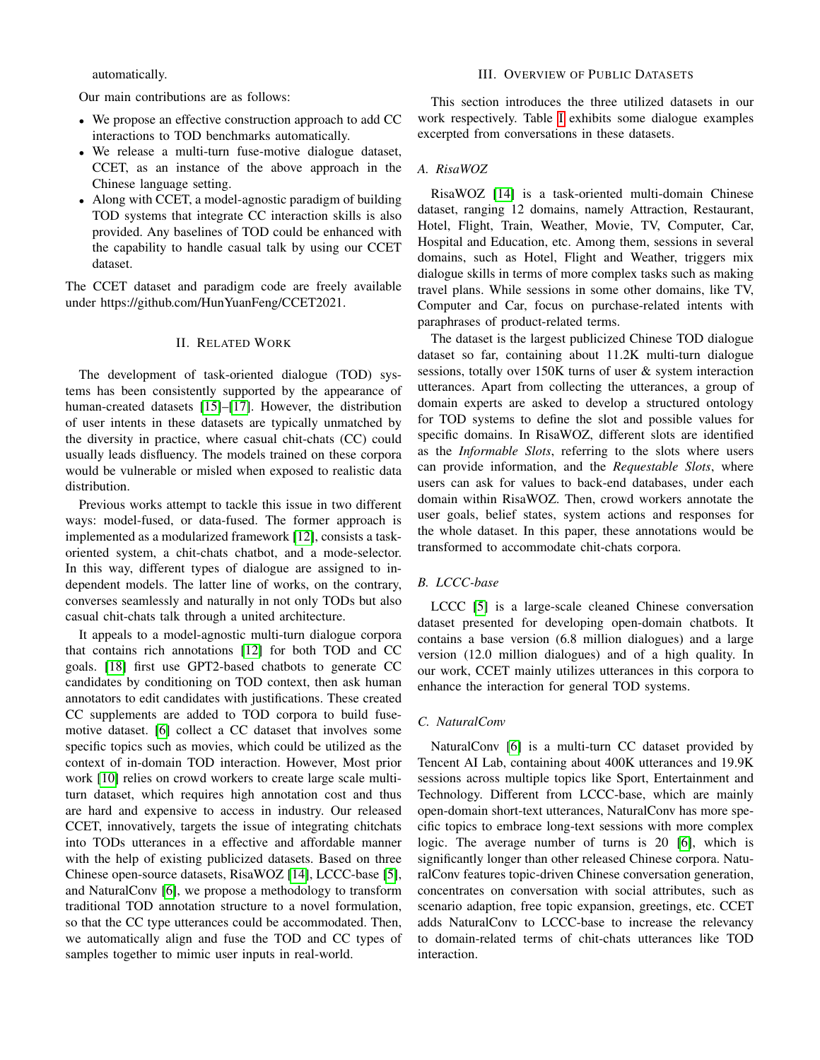automatically.

Our main contributions are as follows:

- We propose an effective construction approach to add CC interactions to TOD benchmarks automatically.
- We release a multi-turn fuse-motive dialogue dataset, CCET, as an instance of the above approach in the Chinese language setting.
- Along with CCET, a model-agnostic paradigm of building TOD systems that integrate CC interaction skills is also provided. Any baselines of TOD could be enhanced with the capability to handle casual talk by using our CCET dataset.

The CCET dataset and paradigm code are freely available under https://github.com/HunYuanFeng/CCET2021.

#### II. RELATED WORK

The development of task-oriented dialogue (TOD) systems has been consistently supported by the appearance of human-created datasets [\[15\]](#page-6-5)–[\[17\]](#page-6-6). However, the distribution of user intents in these datasets are typically unmatched by the diversity in practice, where casual chit-chats (CC) could usually leads disfluency. The models trained on these corpora would be vulnerable or misled when exposed to realistic data distribution.

Previous works attempt to tackle this issue in two different ways: model-fused, or data-fused. The former approach is implemented as a modularized framework [\[12\]](#page-6-2), consists a taskoriented system, a chit-chats chatbot, and a mode-selector. In this way, different types of dialogue are assigned to independent models. The latter line of works, on the contrary, converses seamlessly and naturally in not only TODs but also casual chit-chats talk through a united architecture.

It appeals to a model-agnostic multi-turn dialogue corpora that contains rich annotations [\[12\]](#page-6-2) for both TOD and CC goals. [\[18\]](#page-6-7) first use GPT2-based chatbots to generate CC candidates by conditioning on TOD context, then ask human annotators to edit candidates with justifications. These created CC supplements are added to TOD corpora to build fusemotive dataset. [\[6\]](#page-5-6) collect a CC dataset that involves some specific topics such as movies, which could be utilized as the context of in-domain TOD interaction. However, Most prior work [\[10\]](#page-6-0) relies on crowd workers to create large scale multiturn dataset, which requires high annotation cost and thus are hard and expensive to access in industry. Our released CCET, innovatively, targets the issue of integrating chitchats into TODs utterances in a effective and affordable manner with the help of existing publicized datasets. Based on three Chinese open-source datasets, RisaWOZ [\[14\]](#page-6-4), LCCC-base [\[5\]](#page-5-2), and NaturalConv [\[6\]](#page-5-6), we propose a methodology to transform traditional TOD annotation structure to a novel formulation, so that the CC type utterances could be accommodated. Then, we automatically align and fuse the TOD and CC types of samples together to mimic user inputs in real-world.

This section introduces the three utilized datasets in our work respectively. Table [I](#page-2-0) exhibits some dialogue examples excerpted from conversations in these datasets.

#### *A. RisaWOZ*

RisaWOZ [\[14\]](#page-6-4) is a task-oriented multi-domain Chinese dataset, ranging 12 domains, namely Attraction, Restaurant, Hotel, Flight, Train, Weather, Movie, TV, Computer, Car, Hospital and Education, etc. Among them, sessions in several domains, such as Hotel, Flight and Weather, triggers mix dialogue skills in terms of more complex tasks such as making travel plans. While sessions in some other domains, like TV, Computer and Car, focus on purchase-related intents with paraphrases of product-related terms.

The dataset is the largest publicized Chinese TOD dialogue dataset so far, containing about 11.2K multi-turn dialogue sessions, totally over 150K turns of user & system interaction utterances. Apart from collecting the utterances, a group of domain experts are asked to develop a structured ontology for TOD systems to define the slot and possible values for specific domains. In RisaWOZ, different slots are identified as the *Informable Slots*, referring to the slots where users can provide information, and the *Requestable Slots*, where users can ask for values to back-end databases, under each domain within RisaWOZ. Then, crowd workers annotate the user goals, belief states, system actions and responses for the whole dataset. In this paper, these annotations would be transformed to accommodate chit-chats corpora.

## *B. LCCC-base*

LCCC [\[5\]](#page-5-2) is a large-scale cleaned Chinese conversation dataset presented for developing open-domain chatbots. It contains a base version (6.8 million dialogues) and a large version (12.0 million dialogues) and of a high quality. In our work, CCET mainly utilizes utterances in this corpora to enhance the interaction for general TOD systems.

#### *C. NaturalConv*

NaturalConv [\[6\]](#page-5-6) is a multi-turn CC dataset provided by Tencent AI Lab, containing about 400K utterances and 19.9K sessions across multiple topics like Sport, Entertainment and Technology. Different from LCCC-base, which are mainly open-domain short-text utterances, NaturalConv has more specific topics to embrace long-text sessions with more complex logic. The average number of turns is 20 [\[6\]](#page-5-6), which is significantly longer than other released Chinese corpora. NaturalConv features topic-driven Chinese conversation generation, concentrates on conversation with social attributes, such as scenario adaption, free topic expansion, greetings, etc. CCET adds NaturalConv to LCCC-base to increase the relevancy to domain-related terms of chit-chats utterances like TOD interaction.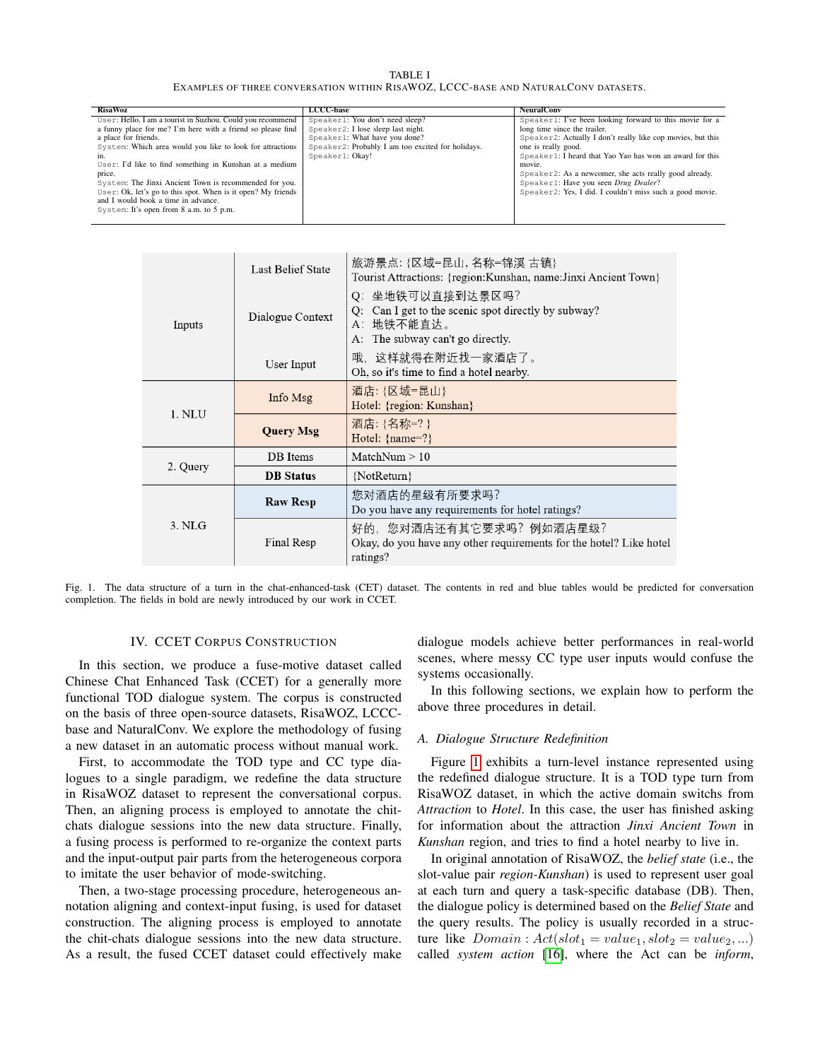TABLE I EXAMPLES OF THREE CONVERSATION WITHIN RISAWOZ, LCCC-BASE AND NATURALCONV DATASETS.

<span id="page-2-0"></span>

| <b>RisaWoz</b>                                               | <b>LCCC-base</b>                                  | <b>NeuralConv</b>                                           |
|--------------------------------------------------------------|---------------------------------------------------|-------------------------------------------------------------|
|                                                              |                                                   |                                                             |
| User: Hello, I am a tourist in Suzhou. Could you recommend   | Speaker1: You don't need sleep?                   | Speaker1: I've been looking forward to this movie for a     |
| a funny place for me? I'm here with a friend so please find  | Speaker2: I lose sleep last night.                | long time since the trailer.                                |
| a place for friends.                                         | Speaker1: What have you done?                     | Speaker2: Actually I don't really like cop movies, but this |
| System: Which area would you like to look for attractions    | Speaker2: Probably I am too excited for holidays. | one is really good.                                         |
| ın.                                                          | Speaker1: Okay!                                   | Speaker1: I heard that Yao Yao has won an award for this    |
| User: I'd like to find something in Kunshan at a medium      |                                                   | movie.                                                      |
| price.                                                       |                                                   | Speaker2: As a newcomer, she acts really good already.      |
| System: The Jinxi Ancient Town is recommended for you.       |                                                   | Speaker1: Have you seen Drug Dealer?                        |
| User: Ok, let's go to this spot. When is it open? My friends |                                                   | Speaker2: Yes, I did. I couldn't miss such a good movie.    |
| and I would book a time in advance.                          |                                                   |                                                             |
| System: It's open from 8 a.m. to 5 p.m.                      |                                                   |                                                             |
|                                                              |                                                   |                                                             |

|          | Last Belief State | 旅游景点: {区域=昆山, 名称=锦溪 古镇}<br>Tourist Attractions: {region: Kunshan, name: Jinxi Ancient Town}                                    |  |
|----------|-------------------|--------------------------------------------------------------------------------------------------------------------------------|--|
| Inputs   | Dialogue Context  | Q:坐地铁可以直接到达景区吗?<br>Can I get to the scenic spot directly by subway?<br>Q:<br>A: 地铁不能直达。<br>The subway can't go directly.<br>A: |  |
|          | User Input        | 哦,这样就得在附近找一家酒店了。<br>Oh, so it's time to find a hotel nearby.                                                                   |  |
| 1. NLU   | Info Msg          | 酒店: {区域=昆山}<br>Hotel: {region: Kunshan}                                                                                        |  |
|          | <b>Query Msg</b>  | 酒店: {名称=?}<br>Hotel: ${\{name=? \}}$                                                                                           |  |
|          | DB Items          | MatchNum > 10                                                                                                                  |  |
| 2. Query | <b>DB</b> Status  | $\{NotReturn\}$                                                                                                                |  |
|          | <b>Raw Resp</b>   | 您对酒店的星级有所要求吗?<br>Do you have any requirements for hotel ratings?                                                               |  |
| 3. NLG   | Final Resp        | 好的,您对酒店还有其它要求吗?例如酒店星级?<br>Okay, do you have any other requirements for the hotel? Like hotel<br>ratings?                       |  |

<span id="page-2-1"></span>Fig. 1. The data structure of a turn in the chat-enhanced-task (CET) dataset. The contents in red and blue tables would be predicted for conversation completion. The fields in bold are newly introduced by our work in CCET.

## IV. CCET CORPUS CONSTRUCTION

In this section, we produce a fuse-motive dataset called Chinese Chat Enhanced Task (CCET) for a generally more functional TOD dialogue system. The corpus is constructed on the basis of three open-source datasets, RisaWOZ, LCCCbase and NaturalConv. We explore the methodology of fusing a new dataset in an automatic process without manual work.

First, to accommodate the TOD type and CC type dialogues to a single paradigm, we redefine the data structure in RisaWOZ dataset to represent the conversational corpus. Then, an aligning process is employed to annotate the chitchats dialogue sessions into the new data structure. Finally, a fusing process is performed to re-organize the context parts and the input-output pair parts from the heterogeneous corpora to imitate the user behavior of mode-switching.

Then, a two-stage processing procedure, heterogeneous annotation aligning and context-input fusing, is used for dataset construction. The aligning process is employed to annotate the chit-chats dialogue sessions into the new data structure. As a result, the fused CCET dataset could effectively make dialogue models achieve better performances in real-world scenes, where messy CC type user inputs would confuse the systems occasionally.

In this following sections, we explain how to perform the above three procedures in detail.

#### *A. Dialogue Structure Redefinition*

Figure [1](#page-2-1) exhibits a turn-level instance represented using the redefined dialogue structure. It is a TOD type turn from RisaWOZ dataset, in which the active domain switchs from *Attraction* to *Hotel*. In this case, the user has finished asking for information about the attraction *Jinxi Ancient Town* in *Kunshan* region, and tries to find a hotel nearby to live in.

In original annotation of RisaWOZ, the *belief state* (i.e., the slot-value pair *region-Kunshan*) is used to represent user goal at each turn and query a task-specific database (DB). Then, the dialogue policy is determined based on the *Belief State* and the query results. The policy is usually recorded in a structure like  $Domain: Act(slot_1 = value_1, slot_2 = value_2, ...)$ called *system action* [\[16\]](#page-6-8), where the Act can be *inform*,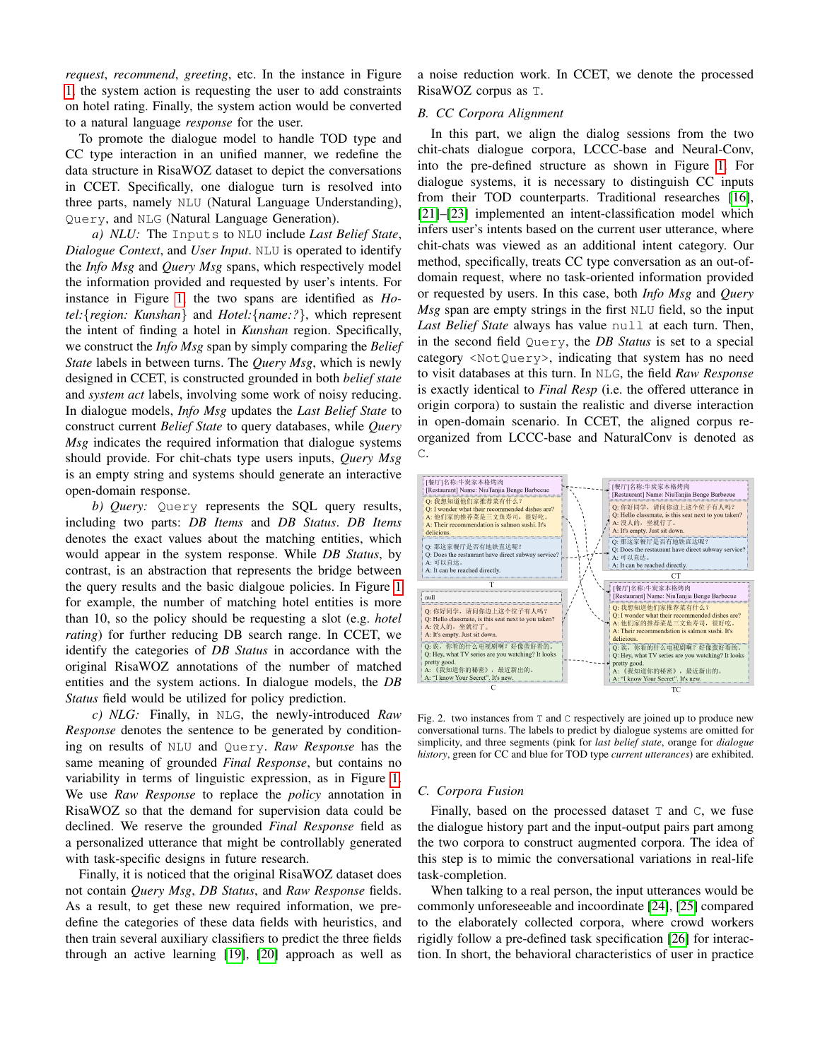*request*, *recommend*, *greeting*, etc. In the instance in Figure [1,](#page-2-1) the system action is requesting the user to add constraints on hotel rating. Finally, the system action would be converted to a natural language *response* for the user.

To promote the dialogue model to handle TOD type and CC type interaction in an unified manner, we redefine the data structure in RisaWOZ dataset to depict the conversations in CCET. Specifically, one dialogue turn is resolved into three parts, namely NLU (Natural Language Understanding), Query, and NLG (Natural Language Generation).

*a) NLU:* The Inputs to NLU include *Last Belief State*, *Dialogue Context*, and *User Input*. NLU is operated to identify the *Info Msg* and *Query Msg* spans, which respectively model the information provided and requested by user's intents. For instance in Figure [1,](#page-2-1) the two spans are identified as *Hotel:*{*region: Kunshan*} and *Hotel:*{*name:?*}, which represent the intent of finding a hotel in *Kunshan* region. Specifically, we construct the *Info Msg* span by simply comparing the *Belief State* labels in between turns. The *Query Msg*, which is newly designed in CCET, is constructed grounded in both *belief state* and *system act* labels, involving some work of noisy reducing. In dialogue models, *Info Msg* updates the *Last Belief State* to construct current *Belief State* to query databases, while *Query Msg* indicates the required information that dialogue systems should provide. For chit-chats type users inputs, *Query Msg* is an empty string and systems should generate an interactive open-domain response.

*b) Query:* Query represents the SQL query results, including two parts: *DB Items* and *DB Status*. *DB Items* denotes the exact values about the matching entities, which would appear in the system response. While *DB Status*, by contrast, is an abstraction that represents the bridge between the query results and the basic dialgoue policies. In Figure [1](#page-2-1) for example, the number of matching hotel entities is more than 10, so the policy should be requesting a slot (e.g. *hotel rating*) for further reducing DB search range. In CCET, we identify the categories of *DB Status* in accordance with the original RisaWOZ annotations of the number of matched entities and the system actions. In dialogue models, the *DB Status* field would be utilized for policy prediction.

*c) NLG:* Finally, in NLG, the newly-introduced *Raw Response* denotes the sentence to be generated by conditioning on results of NLU and Query. *Raw Response* has the same meaning of grounded *Final Response*, but contains no variability in terms of linguistic expression, as in Figure [1.](#page-2-1) We use *Raw Response* to replace the *policy* annotation in RisaWOZ so that the demand for supervision data could be declined. We reserve the grounded *Final Response* field as a personalized utterance that might be controllably generated with task-specific designs in future research.

Finally, it is noticed that the original RisaWOZ dataset does not contain *Query Msg*, *DB Status*, and *Raw Response* fields. As a result, to get these new required information, we predefine the categories of these data fields with heuristics, and then train several auxiliary classifiers to predict the three fields through an active learning [\[19\]](#page-6-9), [\[20\]](#page-6-10) approach as well as a noise reduction work. In CCET, we denote the processed RisaWOZ corpus as T.

### *B. CC Corpora Alignment*

In this part, we align the dialog sessions from the two chit-chats dialogue corpora, LCCC-base and Neural-Conv, into the pre-defined structure as shown in Figure [1.](#page-2-1) For dialogue systems, it is necessary to distinguish CC inputs from their TOD counterparts. Traditional researches [\[16\]](#page-6-8), [\[21\]](#page-6-11)–[\[23\]](#page-6-12) implemented an intent-classification model which infers user's intents based on the current user utterance, where chit-chats was viewed as an additional intent category. Our method, specifically, treats CC type conversation as an out-ofdomain request, where no task-oriented information provided or requested by users. In this case, both *Info Msg* and *Query Msg* span are empty strings in the first NLU field, so the input *Last Belief State* always has value null at each turn. Then, in the second field Query, the *DB Status* is set to a special category <NotQuery>, indicating that system has no need to visit databases at this turn. In NLG, the field *Raw Response* is exactly identical to *Final Resp* (i.e. the offered utterance in origin corpora) to sustain the realistic and diverse interaction in open-domain scenario. In CCET, the aligned corpus reorganized from LCCC-base and NaturalConv is denoted as C.



<span id="page-3-0"></span>Fig. 2. two instances from  $T$  and  $C$  respectively are joined up to produce new conversational turns. The labels to predict by dialogue systems are omitted for simplicity, and three segments (pink for *last belief state*, orange for *dialogue history*, green for CC and blue for TOD type *current utterances*) are exhibited.

### *C. Corpora Fusion*

Finally, based on the processed dataset T and C, we fuse the dialogue history part and the input-output pairs part among the two corpora to construct augmented corpora. The idea of this step is to mimic the conversational variations in real-life task-completion.

When talking to a real person, the input utterances would be commonly unforeseeable and incoordinate [\[24\]](#page-6-13), [\[25\]](#page-6-14) compared to the elaborately collected corpora, where crowd workers rigidly follow a pre-defined task specification [\[26\]](#page-6-15) for interaction. In short, the behavioral characteristics of user in practice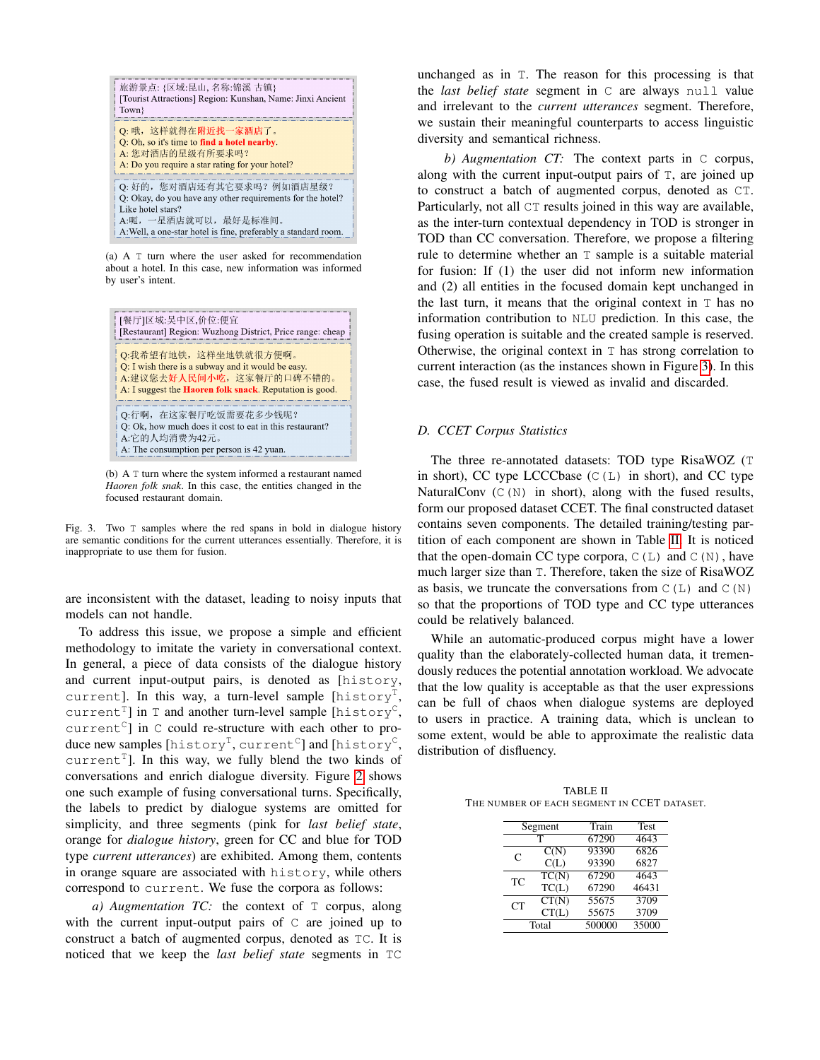

(a) A T turn where the user asked for recommendation about a hotel. In this case, new information was informed by user's intent.



(b) A T turn where the system informed a restaurant named *Haoren folk snak*. In this case, the entities changed in the focused restaurant domain.

<span id="page-4-0"></span>Fig. 3. Two T samples where the red spans in bold in dialogue history are semantic conditions for the current utterances essentially. Therefore, it is inappropriate to use them for fusion.

are inconsistent with the dataset, leading to noisy inputs that models can not handle.

To address this issue, we propose a simple and efficient methodology to imitate the variety in conversational context. In general, a piece of data consists of the dialogue history and current input-output pairs, is denoted as [history, current]. In this way, a turn-level sample [history<sup>T</sup>, current<sup>T</sup>] in T and another turn-level sample [history<sup>C</sup>, current<sup>c</sup>] in C could re-structure with each other to produce new samples [history $^{\mathtt{T}}$ , current $^{\mathtt{C}}$ ] and [history $^{\mathtt{C}}$ , current<sup>T</sup>]. In this way, we fully blend the two kinds of conversations and enrich dialogue diversity. Figure [2](#page-3-0) shows one such example of fusing conversational turns. Specifically, the labels to predict by dialogue systems are omitted for simplicity, and three segments (pink for *last belief state*, orange for *dialogue history*, green for CC and blue for TOD type *current utterances*) are exhibited. Among them, contents in orange square are associated with history, while others correspond to current. We fuse the corpora as follows:

*a) Augmentation TC:* the context of T corpus, along with the current input-output pairs of C are joined up to construct a batch of augmented corpus, denoted as TC. It is noticed that we keep the *last belief state* segments in TC

unchanged as in T. The reason for this processing is that the *last belief state* segment in C are always null value and irrelevant to the *current utterances* segment. Therefore, we sustain their meaningful counterparts to access linguistic diversity and semantical richness.

*b) Augmentation CT:* The context parts in C corpus, along with the current input-output pairs of T, are joined up to construct a batch of augmented corpus, denoted as CT. Particularly, not all CT results joined in this way are available, as the inter-turn contextual dependency in TOD is stronger in TOD than CC conversation. Therefore, we propose a filtering rule to determine whether an T sample is a suitable material for fusion: If (1) the user did not inform new information and (2) all entities in the focused domain kept unchanged in the last turn, it means that the original context in T has no information contribution to NLU prediction. In this case, the fusing operation is suitable and the created sample is reserved. Otherwise, the original context in T has strong correlation to current interaction (as the instances shown in Figure [3\)](#page-4-0). In this case, the fused result is viewed as invalid and discarded.

### *D. CCET Corpus Statistics*

The three re-annotated datasets: TOD type RisaWOZ (T in short), CC type LCCCbase  $(C(L))$  in short), and CC type NaturalConv  $(C(N)$  in short), along with the fused results, form our proposed dataset CCET. The final constructed dataset contains seven components. The detailed training/testing partition of each component are shown in Table [II.](#page-4-1) It is noticed that the open-domain CC type corpora,  $C(L)$  and  $C(N)$ , have much larger size than T. Therefore, taken the size of RisaWOZ as basis, we truncate the conversations from  $C(L)$  and  $C(N)$ so that the proportions of TOD type and CC type utterances could be relatively balanced.

While an automatic-produced corpus might have a lower quality than the elaborately-collected human data, it tremendously reduces the potential annotation workload. We advocate that the low quality is acceptable as that the user expressions can be full of chaos when dialogue systems are deployed to users in practice. A training data, which is unclean to some extent, would be able to approximate the realistic data distribution of disfluency.

<span id="page-4-1"></span>TABLE II THE NUMBER OF EACH SEGMENT IN CCET DATASET.

| Segment |       | Train  | <b>Test</b> |
|---------|-------|--------|-------------|
|         | т     | 67290  | 4643        |
| C       | C(N)  | 93390  | 6826        |
|         | C(L)  | 93390  | 6827        |
| TC      | TC(N) | 67290  | 4643        |
|         | TC(L) | 67290  | 46431       |
| CТ      | CT(N) | 55675  | 3709        |
|         | CT(L) | 55675  | 3709        |
|         | Total | 500000 | 35000       |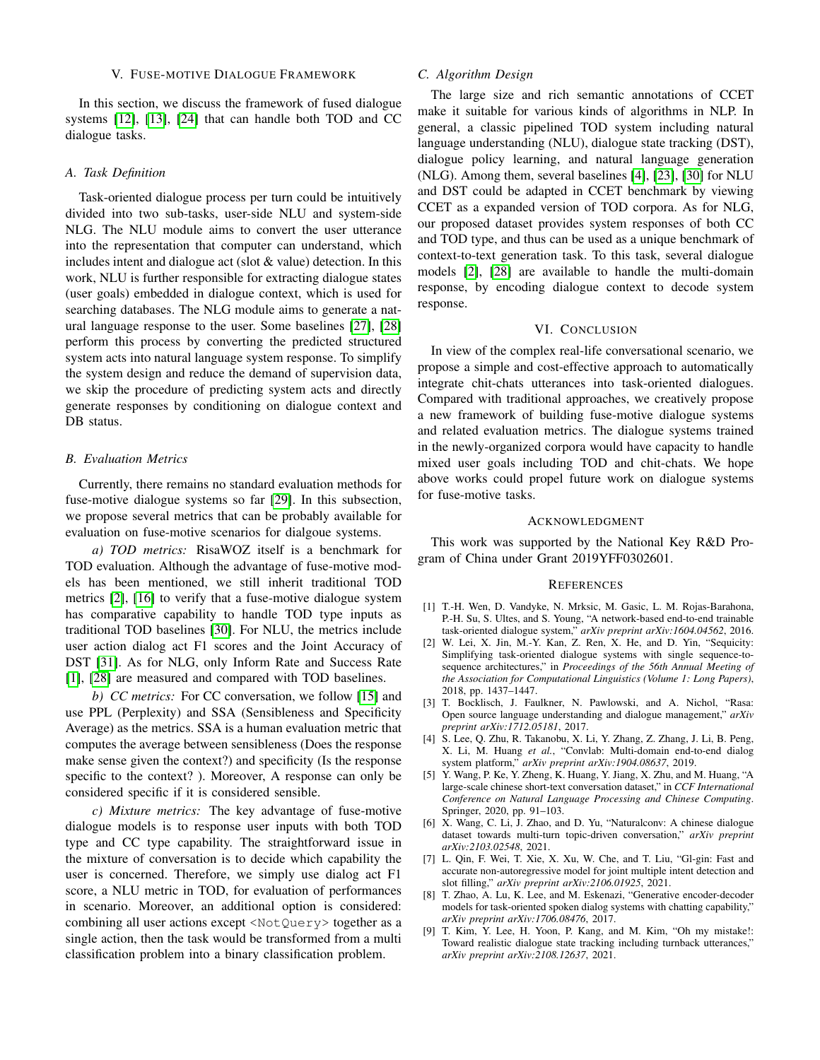### V. FUSE-MOTIVE DIALOGUE FRAMEWORK

In this section, we discuss the framework of fused dialogue systems [\[12\]](#page-6-2), [\[13\]](#page-6-3), [\[24\]](#page-6-13) that can handle both TOD and CC dialogue tasks.

#### *A. Task Definition*

Task-oriented dialogue process per turn could be intuitively divided into two sub-tasks, user-side NLU and system-side NLG. The NLU module aims to convert the user utterance into the representation that computer can understand, which includes intent and dialogue act (slot & value) detection. In this work, NLU is further responsible for extracting dialogue states (user goals) embedded in dialogue context, which is used for searching databases. The NLG module aims to generate a natural language response to the user. Some baselines [\[27\]](#page-6-16), [\[28\]](#page-6-17) perform this process by converting the predicted structured system acts into natural language system response. To simplify the system design and reduce the demand of supervision data, we skip the procedure of predicting system acts and directly generate responses by conditioning on dialogue context and DB status.

#### *B. Evaluation Metrics*

Currently, there remains no standard evaluation methods for fuse-motive dialogue systems so far [\[29\]](#page-6-18). In this subsection, we propose several metrics that can be probably available for evaluation on fuse-motive scenarios for dialgoue systems.

*a) TOD metrics:* RisaWOZ itself is a benchmark for TOD evaluation. Although the advantage of fuse-motive models has been mentioned, we still inherit traditional TOD metrics [\[2\]](#page-5-7), [\[16\]](#page-6-8) to verify that a fuse-motive dialogue system has comparative capability to handle TOD type inputs as traditional TOD baselines [\[30\]](#page-6-19). For NLU, the metrics include user action dialog act F1 scores and the Joint Accuracy of DST [\[31\]](#page-6-20). As for NLG, only Inform Rate and Success Rate [\[1\]](#page-5-0), [\[28\]](#page-6-17) are measured and compared with TOD baselines.

*b) CC metrics:* For CC conversation, we follow [\[15\]](#page-6-5) and use PPL (Perplexity) and SSA (Sensibleness and Specificity Average) as the metrics. SSA is a human evaluation metric that computes the average between sensibleness (Does the response make sense given the context?) and specificity (Is the response specific to the context? ). Moreover, A response can only be considered specific if it is considered sensible.

*c) Mixture metrics:* The key advantage of fuse-motive dialogue models is to response user inputs with both TOD type and CC type capability. The straightforward issue in the mixture of conversation is to decide which capability the user is concerned. Therefore, we simply use dialog act F1 score, a NLU metric in TOD, for evaluation of performances in scenario. Moreover, an additional option is considered: combining all user actions except <NotQuery> together as a single action, then the task would be transformed from a multi classification problem into a binary classification problem.

## *C. Algorithm Design*

The large size and rich semantic annotations of CCET make it suitable for various kinds of algorithms in NLP. In general, a classic pipelined TOD system including natural language understanding (NLU), dialogue state tracking (DST), dialogue policy learning, and natural language generation (NLG). Among them, several baselines [\[4\]](#page-5-1), [\[23\]](#page-6-12), [\[30\]](#page-6-19) for NLU and DST could be adapted in CCET benchmark by viewing CCET as a expanded version of TOD corpora. As for NLG, our proposed dataset provides system responses of both CC and TOD type, and thus can be used as a unique benchmark of context-to-text generation task. To this task, several dialogue models [\[2\]](#page-5-7), [\[28\]](#page-6-17) are available to handle the multi-domain response, by encoding dialogue context to decode system response.

## VI. CONCLUSION

In view of the complex real-life conversational scenario, we propose a simple and cost-effective approach to automatically integrate chit-chats utterances into task-oriented dialogues. Compared with traditional approaches, we creatively propose a new framework of building fuse-motive dialogue systems and related evaluation metrics. The dialogue systems trained in the newly-organized corpora would have capacity to handle mixed user goals including TOD and chit-chats. We hope above works could propel future work on dialogue systems for fuse-motive tasks.

#### ACKNOWLEDGMENT

This work was supported by the National Key R&D Program of China under Grant 2019YFF0302601.

#### **REFERENCES**

- <span id="page-5-0"></span>[1] T.-H. Wen, D. Vandyke, N. Mrksic, M. Gasic, L. M. Rojas-Barahona, P.-H. Su, S. Ultes, and S. Young, "A network-based end-to-end trainable task-oriented dialogue system," *arXiv preprint arXiv:1604.04562*, 2016.
- <span id="page-5-7"></span>[2] W. Lei, X. Jin, M.-Y. Kan, Z. Ren, X. He, and D. Yin, "Sequicity: Simplifying task-oriented dialogue systems with single sequence-tosequence architectures," in *Proceedings of the 56th Annual Meeting of the Association for Computational Linguistics (Volume 1: Long Papers)*, 2018, pp. 1437–1447.
- [3] T. Bocklisch, J. Faulkner, N. Pawlowski, and A. Nichol, "Rasa: Open source language understanding and dialogue management," *arXiv preprint arXiv:1712.05181*, 2017.
- <span id="page-5-1"></span>[4] S. Lee, Q. Zhu, R. Takanobu, X. Li, Y. Zhang, Z. Zhang, J. Li, B. Peng, X. Li, M. Huang *et al.*, "Convlab: Multi-domain end-to-end dialog system platform," *arXiv preprint arXiv:1904.08637*, 2019.
- <span id="page-5-2"></span>[5] Y. Wang, P. Ke, Y. Zheng, K. Huang, Y. Jiang, X. Zhu, and M. Huang, "A large-scale chinese short-text conversation dataset," in *CCF International Conference on Natural Language Processing and Chinese Computing*. Springer, 2020, pp. 91–103.
- <span id="page-5-6"></span>[6] X. Wang, C. Li, J. Zhao, and D. Yu, "Naturalconv: A chinese dialogue dataset towards multi-turn topic-driven conversation," *arXiv preprint arXiv:2103.02548*, 2021.
- <span id="page-5-3"></span>[7] L. Qin, F. Wei, T. Xie, X. Xu, W. Che, and T. Liu, "Gl-gin: Fast and accurate non-autoregressive model for joint multiple intent detection and slot filling," *arXiv preprint arXiv:2106.01925*, 2021.
- <span id="page-5-4"></span>[8] T. Zhao, A. Lu, K. Lee, and M. Eskenazi, "Generative encoder-decoder models for task-oriented spoken dialog systems with chatting capability," *arXiv preprint arXiv:1706.08476*, 2017.
- <span id="page-5-5"></span>[9] T. Kim, Y. Lee, H. Yoon, P. Kang, and M. Kim, "Oh my mistake!: Toward realistic dialogue state tracking including turnback utterances," *arXiv preprint arXiv:2108.12637*, 2021.